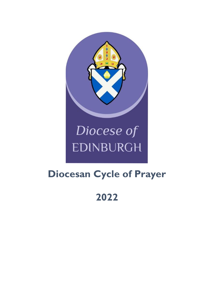

# Diocese of **EDINBURGH**

# **Diocesan Cycle of Prayer**

# **2022**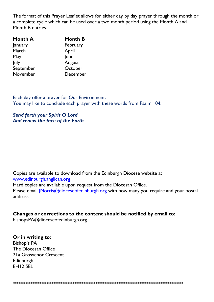The format of this Prayer Leaflet allows for either day by day prayer through the month or a complete cycle which can be used over a two month period using the Month A and Month B entries.

| <b>Month A</b> | <b>Month B</b> |
|----------------|----------------|
| January        | February       |
| March          | April          |
| May            | June           |
| July           | August         |
| September      | October        |
| November       | December       |

Each day offer a prayer for Our Environment. You may like to conclude each prayer with these words from Psalm 104:

#### *Send forth your Spirit O Lord And renew the face of the Earth*

Copies are available to download from the Edinburgh Diocese website at [www.edinburgh.anglican.org](http://www.edinburgh.anglican.org/)  Hard copies are available upon request from the Diocesan Office. Please email *Morris@dioceseofedinburgh.org* with how many you require and your postal address.

## **Changes or corrections to the content should be notified by email to:**

bishopsPA@dioceseofedinburgh.org

#### **Or in writing to:**

Bishop's PA The Diocesan Office 21a Grosvenor Crescent **Edinburgh** EH12 5EL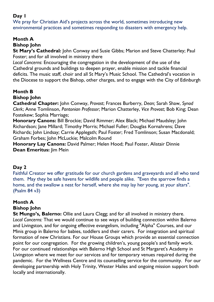We pray for Christian Aid's projects across the world, sometimes introducing new environmental practices and sometimes responding to disasters with emergency help.

## **Month A**

#### **Bishop John**

**St Mary's Cathedral:** John Conway and Susie Gibbs; Marion and Steve Chatterley; Paul Foster; and for all involved in ministry there

*Local Concerns*: Encouraging the congregation in the development of the use of the Cathedral grounds and buildings to deepen prayer, enable mission and tackle financial deficits. The music staff, choir and all St Mary's Music School. The Cathedral's vocation in the Diocese to support the Bishop, other charges, and to engage with the City of Edinburgh

#### **Month B**

#### **Bishop John**

**Cathedral Chapter:** John Conway, *Provost*; Frances Burberry, *Dean;* Sarah Shaw, *Synod Clerk*; Anne Tomlinson, *Pantonian Professor*; Marion Chatterley, *Vice Provost*; Bob King; Dean Fostekew; Sophia Marriage;

**Honorary Canons:** Bill Brockie; David Rimmer; Alex Black; Michael Maudsley; John Richardson; Jane Millard; Timothy Morris; Michael Fuller; Douglas Kornahrens; Dave Richards; John Lindsay; Carrie Applegath; Paul Foster; Fred Tomlinson; Susan Macdonald; Graham Forbes; John McLuckie; Malcolm Round

**Honorary Lay Canons:** David Palmer; Helen Hood; Paul Foster, Alistair Dinnie **Dean Emeritus: |im Mein** 

#### **Day 2**

Faithful Creator we offer gratitude for our church gardens and graveyards and all who tend them. May they be safe havens for wildlife and people alike. "Even the sparrow finds a home, and the swallow a nest for herself, where she may lay her young, at your altars". (Psalm 84 v3)

# **Month A**

#### **Bishop John**

**St Mungo's, Balerno:** Ollie and Laura Clegg; and for all involved in ministry there. *Local Concerns:* That we would continue to see ways of building connection within Balerno and Livingston, and for ongoing effective evangelism, including "Alpha" Courses, and our Minis group in Balerno for babies, toddlers and their carers. For integration and spiritual formation of new Christians. For our House Groups which provide an essential connection point for our congregation. For the growing children's, young people's and family work. For our continued relationships with Balerno High School and St Margaret's Academy in Livingston where we meet for our services and for temporary venues required during the pandemic. For the Wellness Centre and its counselling service for the community. For our developing partnership with Holy Trinity, Wester Hailes and ongoing mission support both locally and internationally.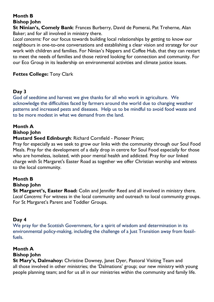**St Ninian's, Comely Bank**: Frances Burberry, David de Pomerai, Pat Treherne, Alan Baker; and for all involved in ministry there.

*Local concerns:* For our focus towards building local relationships by getting to know our neighbours in one-to-one conversations and establishing a clear vision and strategy for our work with children and families. For Ninian's Nippers and Coffee Hub, that they can restart to meet the needs of families and those retired looking for connection and community. For our Eco Group in its leadership on environmental activities and climate justice issues.

#### **Fettes College:** Tony Clark

#### **Day 3**

God of seedtime and harvest we give thanks for all who work in agriculture. We acknowledge the difficulties faced by farmers around the world due to changing weather patterns and increased pests and diseases. Help us to be mindful to avoid food waste and to be more modest in what we demand from the land.

#### **Month A**

#### **Bishop John**

#### **Mustard Seed Edinburgh**: Richard Cornfield - Pioneer Priest;

Pray for especially as we seek to grow our links with the community through our Soul Food Meals. Pray for the development of a daily drop in centre for Soul Food especially for those who are homeless, isolated, with poor mental health and addicted. Pray for our linked charge with St Margaret's Easter Road as together we offer Christian worship and witness to the local community.

# **Month B**

### **Bishop John**

**St Margaret's, Easter Road:** Colin and Jennifer Reed and all involved in ministry there. *Local Concerns:* For witness in the local community and outreach to local community groups. For St Margaret's Parent and Toddler Groups.

#### **Day 4**

We pray for the Scottish Government, for a spirit of wisdom and determination in its environmental policy-making, including the challenge of a Just Transition away from fossilfuels.

#### **Month A**

#### **Bishop John**

**St Mary's, Dalmahoy:** Christine Downey, Janet Dyer, Pastoral Visiting Team and all those involved in other ministries; the 'Dalmations' group; our new ministry with young people planning team; and for us all in our ministries within the community and family life.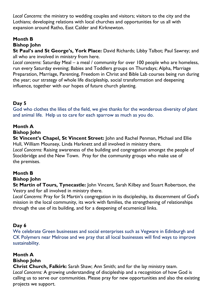*Local Concerns:* the ministry to wedding couples and visitors; visitors to the city and the Lothians; developing relations with local churches and opportunities for us all with expansion around Ratho, East Calder and Kirknewton.

# **Month B**

## **Bishop John**

**St Paul's and St George's, York Place:** David Richards; Libby Talbot; Paul Sawrey; and all who are involved in ministry from here.

*Local concerns*: Saturday Meal – a meal / community for over 100 people who are homeless, run every Saturday evening; Babies and Toddlers groups on Thursdays; Alpha, Marriage Preparation, Marriage, Parenting, Freedom in Christ and Bible Lab courses being run during the year; our strategy of whole life discipleship, social transformation and deepening influence, together with our hopes of future church planting.

# **Day 5**

God who clothes the lilies of the field, we give thanks for the wonderous diversity of plant and animal life. Help us to care for each sparrow as much as you do.

#### **Month A**

#### **Bishop John**

**St Vincent's Chapel, St Vincent Street:** John and Rachel Penman, Michael and Ellie Hull, William Mounsey, Linda Harknett and all involved in ministry there. *Local Concerns:* Raising awareness of the building and congregation amongst the people of Stockbridge and the New Town. Pray for the community groups who make use of the premises.

# **Month B**

#### **Bishop John**

**St Martin of Tours, Tynecastle:** John Vincent, Sarah Kilbey and Stuart Robertson, the Vestry and for all involved in ministry there.

*Local Concerns:* Pray for St Martin's congregation in its discipleship, its discernment of God's mission in the local community, its work with families, the strengthening of relationships through the use of its building, and for a deepening of ecumenical links.

# **Day 6**

We celebrate Green businesses and social enterprises such as Vegware in Edinburgh and CK Polymers near Melrose and we pray that all local businesses will find ways to improve sustainability.

# **Month A**

#### **Bishop John**

**Christ Church, Falkirk:** Sarah Shaw; Ann Smith; and for the lay ministry team. *Local Concerns:* A growing understanding of discipleship and a recognition of how God is calling us to serve our communities. Please pray for new opportunities and also the existing projects we support.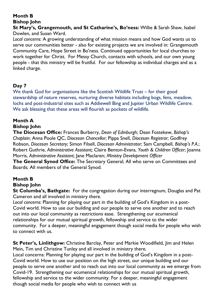**St Mary's, Grangemouth, and St Catharine's, Bo'ness:** Willie & Sarah Shaw, Isabel Dowlen, and Susan Ward.

*Local concerns:* A growing understanding of what mission means and how God wants us to serve our communities better - also for existing projects we are involved in: Grangemouth Community Care, Hope Street in Bo'ness. Continued opportunities for local churches to work together for Christ. For Messy Church, contacts with schools, and our own young people - that this ministry will be fruitful. For our fellowship as individual charges and as a linked charge.

# **Day 7**

We thank God for organisations like the Scottish Wildlife Trust – for their good stewardship of nature reserves, nurturing diverse habitats including bogs, fens, meadow, lochs and post-industrial sites such as Addiewell Bing and Jupiter Urban Wildlife Centre. We ask blessing that these areas will flourish as pockets of wildlife.

#### **Month A**

#### **Bishop John**

**The Diocesan Office:** Frances Burberry, *Dean of Edinburgh*; Dean Fostekew, *Bishop's Chaplain*; Anna Poole QC, *Diocesan Chancellor*; Pippa Snell, *Diocesan Registrar*; Godfrey Robson, *Diocesan Secretary*; Simon Filsell, *Diocesan Administrator*; Sam Campbell, *Bishop's P.A.*; Robert Guthrie, *Administrative Assistant;* Claire Benton-Evans, *Youth & Children Officer*; Joanna Morris, *Administrative Assistant;* Jane Maclaren; *Ministry Development Officer*

**The General Synod Office:** The Secretary General; All who serve on Committees and Boards; All members of the General Synod.

# **Month B**

#### **Bishop John**

**St Columba's, Bathgate:** For the congregation during our interregnum, Douglas and Pat Cameron and all involved in ministry there.

*Local concerns:* Planning for playing our part in the building of God's Kingdom in a post-Covid world. How to use our building and our people to serve one another and to reach out into our local community as restrictions ease. Strengthening our ecumenical relationships for our mutual spiritual growth, fellowship and service to the wider community. For a deeper, meaningful engagement though social media for people who wish to connect with us.

**St Peter's, Linlithgow:** Christine Barclay, Peter and Markie Woodifield, Jim and Helen Mein, Tim and Christine Tunley and all involved in ministry there.

Local concerns: Planning for playing our part in the building of God's Kingdom in a post-Covid world. How to use our position on the high street, our unique building and our people to serve one another and to reach out into our local community as we emerge from Covid-19. Strengthening our ecumenical relationships for our mutual spiritual growth, fellowship and service to the wider community. For a deeper, meaningful engagement though social media for people who wish to connect with us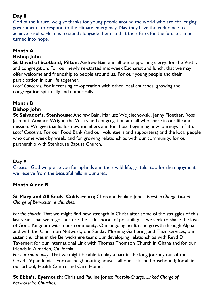God of the future, we give thanks for young people around the world who are challenging governments to respond to the climate emergency. May they have the endurance to achieve results. Help us to stand alongside them so that their fears for the future can be turned into hope.

# **Month A**

#### **Bishop John**

**St David of Scotland, Pilton:** Andrew Bain and all our supporting clergy; for the Vestry and congregation. For our newly re-started mid-week Eucharist and lunch, that we may offer welcome and friendship to people around us. For our young people and their participation in our life together.

*Local Concerns:* For increasing co-operation with other local churches; growing the congregation spiritually and numerically.

# **Month B**

#### **Bishop John**

**St Salvador's, Stenhouse**: Andrew Bain, Mariusz Wojciechowski, Jenny Floether, Ross Jesmont, Amanda Wright, the Vestry and congregation and all who share in our life and mission. We give thanks for new members and for those beginning new journeys in faith. *Local Concerns:* For our Food Bank (and our volunteers and supporters) and the local people who come week by week, and for growing relationships with our community; for our partnership with Stenhouse Baptist Church.

# **Day 9**

Creator God we praise you for uplands and their wild-life, grateful too for the enjoyment we receive from the beautiful hills in our area.

#### **Month A and B**

**St Mary and All Souls, Coldstream;** Chris and Pauline Jones; *Priest-in-Charge Linked Charge of Berwickshire churches*.

*For the church*: That we might find new strength in Christ after some of the struggles of this last year. That we might nurture the little shoots of possibility as we seek to share the love of God's Kingdom within our community. Our ongoing health and growth through Alpha and with the Cinnamon Network; our Sunday Morning Gathering and Taize services; our sister churches in the Berwickshire team; our developing relationships with Revd D Taverner; for our International Link with Thomas Thomson Church in Ghana and for our friends in Almaden, California.

*For our community:* That we might be able to play a part in the long journey out of the Covid-19 pandemic. For our neighbouring houses; all our sick and housebound; for all in our School, Health Centre and Care Homes.

**St Ebba's, Eyemouth**: Chris and Pauline Jones; *Priest-in-Charge, Linked Charge of Berwickshire Churches.*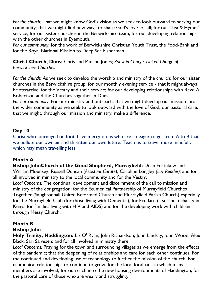*For the church:* That we might know God's vision as we seek to look outward to serving our community; that we might find new ways to share God's love for all; for our 'Tea & Hymns' service; for our sister churches in the Berwickshire team; for our developing relationships with the other churches in Eyemouth.

*For our community:* for the work of Berwickshire Christian Youth Trust, the Food-Bank and for the Royal National Mission to Deep Sea Fishermen.

**Christ Church, Duns:** Chris and Pauline Jones; *Priest-in-Charge, Linked Charge of Berwickshire Churches*

*For the church*: As we seek to develop the worship and ministry of the church; for our sister churches in the Berwickshire group; for our monthly evening service - that it might always be attractive; for the Vestry and their service; for our developing relationships with Revd A Robertson and the Churches together in Duns.

*For our community:* For our ministry and outreach, that we might develop our mission into the wider community as we seek to look outward with the love of God; our pastoral care, that we might, through our mission and ministry, make a difference.

#### **Day 10**

Christ who journeyed on foot, have mercy on us who are so eager to get from A to B that we pollute our own air and threaten our own future. Teach us to travel more mindfully which may mean travelling less.

#### **Month A**

**Bishop JohnChurch of the Good Shepherd, Murrayfield:** Dean Fostekew and William Mounsey; Russell Duncan (*Assistant Curate*); Caroline Longley *(Lay Reader);* and for all involved in ministry to the local community and for the Vestry.

*Local Concerns:* The continual development and discernment of the call to mission and ministry of the congregation; for the Ecumenical Partnership of Murrayfield Churches Together (Saughtonhall United Reformed Church and Murrayfield Parish Church) especially for the Murrayfield Club (for those living with Dementia); for Ecudare (a self-help charity in Kenya for families living with HIV and AIDS) and for the developing work with children through Messy Church.

# **Month B**

#### **Bishop John**

**Holy Trinity, Haddington:** Liz O' Ryan, John Richardson; John Lindsay; John Wood; Alex Black, Sari Salvesen; and for all involved in ministry there.

*Local Concerns:* Praying for the town and surrounding villages as we emerge from the effects of the pandemic; that the deepening of relationships and care for each other continues. For the continued and developing use of technology to further the mission of the church. For ecumenical relationships to continue to grow; for the local foodbank in which many members are involved; for outreach into the new housing developments of Haddington; for the pastoral care of those who are weary and struggling.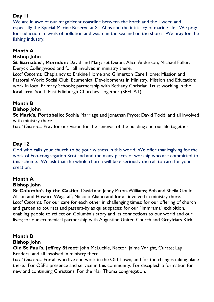We are in awe of our magnificent coastline between the Forth and the Tweed and especially the Special Marine Reserve at St. Abbs and the intricacy of marine life. We pray for reduction in levels of pollution and waste in the sea and on the shore. We pray for the fishing industry.

# **Month A**

#### **Bishop John**

**St Barnabas', Moredun:** David and Margaret Dixon; Alice Anderson; Michael Fuller; Deryck Collingwood and for all involved in ministry there.

*Local Concerns:* Chaplaincy to Erskine Home and Gilmerton Care Home; Mission and Pastoral Work; Social Club; Ecumenical Developments in Ministry, Mission and Education; work in local Primary Schools; partnership with Bethany Christian Trust working in the local area; South East Edinburgh Churches Together (SEECAT).

## **Month B**

#### **Bishop John**

**St Mark's, Portobello:** Sophia Marriage and Jonathan Pryce; David Todd; and all involved with ministry there.

*Local Concerns:* Pray for our vision for the renewal of the building and our life together.

#### **Day 12**

God who calls your church to be your witness in this world. We offer thanksgiving for the work of Eco-congregation Scotland and the many places of worship who are committed to this scheme. We ask that the whole church will take seriously the call to care for your creation.

# **Month A**

# **Bishop John**

**St Columba's by the Castle:** David and Jenny Paton-Williams; Bob and Sheila Gould; Alison and Howard Wagstaff; Niccolo Aliano and for all involved in ministry there. *Local Concerns:* For our care for each other in challenging times; for our offering of church and garden to tourists and passers-by as quiet spaces; for our "Immrama" exhibition, enabling people to reflect on Columba's story and its connections to our world and our lives; for our ecumenical partnership with Augustine United Church and Greyfriars Kirk.

#### **Month B Bishop John**

**Old St Paul's, Jeffrey Street:** John McLuckie, Rector; Jaime Wright, Curate; Lay Readers; and all involved in ministry there.

*Local Concerns:* For all who live and work in the Old Town, and for the changes taking place there. For OSP's presence and service in this community. For discipleship formation for new and continuing Christians. For the Mar Thoma congregation.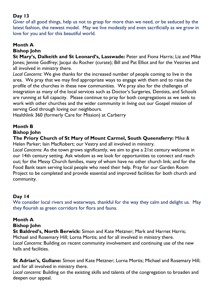Giver of all good things, help us not to grasp for more than we need, or be seduced by the latest fashion, the newest model. May we live modestly and even sacrificially as we grow in love for you and for this beautiful world.

# **Month A**

#### **Bishop John**

**St Mary's, Dalkeith and St Leonard's, Lasswade:** Peter and Fiona Harris; Liz and Mike Jones; Jennie Godfrey; Jacqui du Rocher (curate); Bill and Pat Elliot and for the Vestries and all involved in ministry there.

*Local Concerns*: We give thanks for the increased number of people coming to live in the area. We pray that we may find appropriate ways to engage with them and to raise the profile of the churches in these new communities. We pray also for the challenges of integration as many of the local services such as Doctor's Surgeries, Dentists, and Schools are running at full capacity. Please continue to pray for both congregations as we seek to work with other churches and the wider community in living out our Gospel mission of serving God through loving our neighbours.

Healthlink 360 (formerly Care for Mission) at Carberry

## **Month B**

#### **Bishop John**

**The Priory Church of St Mary of Mount Carmel, South Queensferry:** Mike & Helen Parker; Iain MacRobert; our Vestry and all involved in ministry.

*Local Concerns:* As the town grows significantly, we aim to give a 21st century welcome in our 14th century setting. Ask wisdom as we look for opportunities to connect and reach out; for the Messy Church families, many of whom have no other church link; and for the Food Bank team serving local people who need their help. Pray for our Garden Room Project to be completed and provide essential and improved facilities for both church and community.

#### **Day 14**

We consider local rivers and waterways, thankful for the way they calm and delight us. May they flourish as green corridors for flora and fauna.

# **Month A**

#### **Bishop John**

**St Baldred's, North Berwick:** Simon and Kate Metzner; Mark and Harriet Harris; Michael and Rosemary Hill; Lorna Mortis; and for all involved in ministry there. *Local Concerns:* Building on recent community involvement and continuing use of the new halls and facilities.

**St Adrian's, Gullane:** Simon and Kate Metzner; Lorna Mortis; Michael and Rosemary Hill; and for all involved in ministry there.

*Local concerns:* Building on the existing skills and talents of the congregation to broaden and deepen our appeal.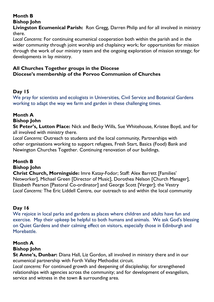**Livingston Ecumenical Parish:** Ron Gregg, Darren Philip and for all involved in ministry there.

*Local Concerns*: For continuing ecumenical cooperation both within the parish and in the wider community through joint worship and chaplaincy work; for opportunities for mission through the work of our ministry team and the ongoing exploration of mission strategy; for developments in lay ministry.

#### **All Churches Together groups in the Diocese Diocese's membership of the Porvoo Communion of Churches**

# **Day 15**

We pray for scientists and ecologists in Universities, Civil Service and Botanical Gardens working to adapt the way we farm and garden in these challenging times.

# **Month A**

# **Bishop John**

**St Peter's, Lutton Place:** Nick and Becky Wills, Sue Whitehouse, Kristee Boyd, and for all involved with ministry there.

*Local Concerns:* Outreach to students and the local community, Partnerships with other organisations working to support refugees, Fresh Start, Basics (Food) Bank and Newington Churches Together. Continuing renovation of our buildings.

# **Month B**

#### **Bishop John**

**Christ Church, Morningside:** Imre Katay-Fodor; Staff: Alex Barrett [Families' Networker], Michael Green [Director of Music], Dorothea Nelson [Church Manager], Elizabeth Pearson [Pastoral Co-ordinator] and George Scott [Verger]; the Vestry *Local Concerns:* The Eric Liddell Centre, our outreach to and within the local community

#### **Day 16**

We rejoice in local parks and gardens as places where children and adults have fun and exercise. May their upkeep be helpful to both humans and animals. We ask God's blessing on Quiet Gardens and their calming effect on visitors, especially those in Edinburgh and Morebattle.

# **Month A**

#### **Bishop John**

**St Anne's, Dunbar:** Diana Hall, Liz Gordon, all involved in ministry there and in our ecumenical partnership with Forth Valley Methodist circuit.

*Local concerns:* For continued growth and deepening of discipleship; for strengthened relationships with agencies across the community; and for development of evangelism, service and witness in the town & surrounding area.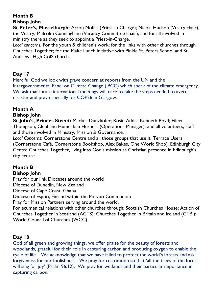**St Peter's, Musselburgh;** Arron Moffat (Priest in Charge); Nicola Hudson (Vestry chair); the Vestry; Malcolm Cunningham (Vacancy Committee chair); and for all involved in ministry there as they seek to appoint a Priest-in-Charge.

*Local concerns:* For the youth & children's work; for the links with other churches through Churches Together; for the Make Lunch initiative with Pinkie St. Peters School and St. Andrews High CofS church.

#### **Day 17**

Merciful God we look with grave concern at reports from the UN and the Intergovernmental Panel on Climate Change (IPCC) which speak of the climate emergency. We ask that future international meetings will dare to take the steps needed to avert disaster and pray especially for COP26 in Glasgow.

# **Month A**

#### **Bishop John**

**St John's, Princes Street:** Markus Dünzkofer; Rosie Addis; Kenneth Boyd; Eileen Thompson; Clephane Hume; Iain Herbert (Operations Manager); and all volunteers, staff and those involved in Ministry, Mission & Governance.

*Local Concerns*: Cornerstone Centre and all those groups that use it, Terrace Users (Cornerstone Café, Cornerstone Bookshop, Alex Bakes, One World Shop), Edinburgh City Centre Churches Together, living into God's mission as Christian presence in Edinburgh's city centre.

#### **Month B Bishop John**

Pray for our link Dioceses around the world

Diocese of Dunedin, New Zealand

Diocese of Cape Coast, Ghana

Diocese of Espoo, Finland within the Porvoo Communion

Pray for Mission Partners serving around the world.

For ecumenical relations with other churches through: Scottish Churches House; Action of Churches Together in Scotland (ACTS); Churches Together in Britain and Ireland (CTBI); World Council of Churches (WCC).

# **Day 18**

God of all green and growing things, we offer praise for the beauty of forests and woodlands, grateful for their role in capturing carbon and producing oxygen to enable the cycle of life. We acknowledge that we have failed to protect the world's forests and ask forgiveness for our foolishness. We pray for restoration so that 'all the trees of the forest will sing for joy' (Psalm 96:12). We pray for wetlands and their particular importance in capturing carbon.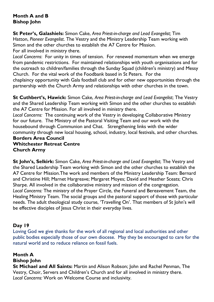#### **Month A and B Bishop John**

**St Peter's, Galashiels:** Simon Cake, *Area Priest-in-charge and Lead Evangelist;* Tim Hatton, *Pioneer Evangelist*. The Vestry and the Ministry Leadership Team working with Simon and the other churches to establish the A7 Centre for Mission. For all involved in ministry there.

*Local Concerns*: For unity in times of tension. For renewed momentum when we emerge from pandemic restrictions. For maintained relationships with youth organisations and for the outreach to children/families through the Sunday Squad (children's ministry) and Messy Church. For the vital work of the Foodbank based in St Peters. For the

chaplaincy opportunity with Gala football club and for other new opportunities through the partnership with the Church Army and relationships with other churches in the town.

**St Cuthbert's, Hawick:** Simon Cake, *Area Priest-in-charge and Lead Evangelist*; The Vestry and the Shared Leadership Team working with Simon and the other churches to establish the A7 Centre for Mission. For all involved in ministry there.

*Local Concerns:* The continuing work of the Vestry in developing Collaborative Ministry for our future. The Ministry of the Pastoral Visiting Team and our work with the housebound through Communion and Chat. Strengthening links with the wider community through new local housing, school, industry, local festivals, and other churches. **Borders Area Council Whitchester Retreat Centre**

**Church Army**

**St John's, Selkirk:** Simon Cake, *Area Priest-in-charge and Lead Evangelist*; The Vestry and the Shared Leadership Team working with Simon and the other churches to establish the A7 Centre for Mission.The work and members of the Ministry Leadership Team: Bernard and Christine Hill; Marnet Hargreave; Margaret Moyes; David and Heather Sceats; Chris Sharpe. All involved in the collaborative ministry and mission of the congregation. *Local Concerns:* The ministry of the Prayer Circle, the Funeral and Bereavement Team, the Healing Ministry Team. The social groups and the pastoral support of those with particular needs. The adult theological study course, 'Travelling On'. That members of St John's will be effective disciples of Jesus Christ in their everyday lives.

#### **Day 19**

Loving God we give thanks for the work of all regional and local authorities and other public bodies especially those of our own diocese. May they be encouraged to care for the natural world and to reduce reliance on fossil fuels.

# **Month A**

**Bishop John**

**St Michael and All Saints:** Martin and Alison Robson; John and Rachel Penman, The Vestry, Choir, Servers and Children's Church and for all involved in ministry there. *Local Concerns:* Work on Welcome Course and inclusivity.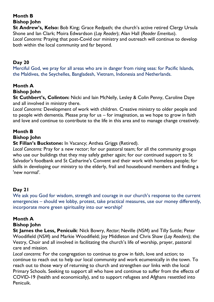**St Andrew's, Kelso:** Bob King; Grace Redpath; the church's active retired Clergy Ursula Shone and Ian Clark; Moira Edwardson (*Lay Reader*); Alan Hall (*Reader Emeritus*). *Local Concerns:* Praying that post-Covid our ministry and outreach will continue to develop both within the local community and far beyond.

#### **Day 20**

Merciful God, we pray for all areas who are in danger from rising seas: for Pacific Islands, the Maldives, the Seychelles, Bangladesh, Vietnam, Indonesia and Netherlands.

# **Month A**

#### **Bishop John**

**St Cuthbert's, Colinton:** Nicki and Iain McNelly, Lesley & Colin Penny, Caroline Daye and all involved in ministry there.

*Local Concerns:* Development of work with children. Creative ministry to older people and to people with dementia. Please pray for us – for imagination, as we hope to grow in faith and love and continue to contribute to the life in this area and to manage change creatively.

#### **Month B Bishop John**

**St Fillan's Buckstone:** In Vacancy; Anthea Griggs (Retired).

*Local Concerns:* Pray for a new rector; for our pastoral team; for all the community groups who use our buildings that they may safely gather again; for our continued support to St Salvador's foodbank and St Catharine's Convent and their work with homeless people; for skills in developing our ministry to the elderly, frail and housebound members and finding a 'new normal'.

# **Day 21**

We ask you God for wisdom, strength and courage in our church's response to the current emergencies – should we lobby, protest, take practical measures, use our money differently, incorporate more green spirituality into our worship?

#### **Month A**

#### **Bishop John**

**St James the Less, Penicuik**: Nick Bowry, *Rector*; Neville (*NSM*) and Tilly Suttle; Peter Woodifield (*NSM*) and Markie Woodifield; Joy Middleton and Chris Shaw (*Lay Readers*); the Vestry, Choir and all involved in facilitating the church's life of worship, prayer, pastoral care and mission.

*Local concerns:* For the congregation to continue to grow in faith, love and action; to continue to reach out to help our local community and work ecumenically in the town. To reach out to those wary of returning to church and strengthen our links with the local Primary Schools. Seeking to support all who have and continue to suffer from the effects of COVID-19 (health and economically), and to support refugees and Afghans resettled into Penicuik.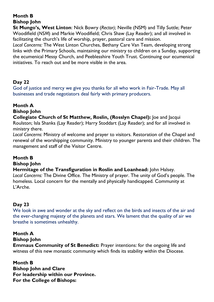**St Mungo's, West Linton**: Nick Bowry (*Rector)*; Neville (NSM) and Tilly Suttle; Peter Woodifield (*NSM*) and Markie Woodifield; Chris Shaw (Lay Reader); and all involved in facilitating the church's life of worship, prayer, pastoral care and mission. *Local Concerns:* The West Linton Churches, Bethany Care Van Team, developing strong links with the Primary Schools, maintaining our ministry to children on a Sunday, supporting the ecumenical Messy Church, and Peeblesshire Youth Trust. Continuing our ecumenical initiatives. To reach out and be more visible in the area.

# **Day 22**

God of justice and mercy we give you thanks for all who work in Fair-Trade. May all businesses and trade negotiators deal fairly with primary producers.

# **Month A**

#### **Bishop John**

**Collegiate Church of St Matthew, Roslin, (Rosslyn Chapel):** Joe and Jacqui Roulston; Isla Shanks (Lay Reader); Harry Stoddart (Lay Reader); and for all involved in ministry there.

*Local Concerns:* Ministry of welcome and prayer to visitors. Restoration of the Chapel and renewal of the worshipping community. Ministry to younger parents and their children. The management and staff of the Visitor Centre.

# **Month B**

### **Bishop John**

**Hermitage of the Transfiguration in Roslin and Loanhead:** John Halsey. *Local Concerns:* The Divine Office. The Ministry of prayer. The unity of God's people. The homeless. Local concern for the mentally and physically handicapped. Community at L'Arche.

# **Day 23**

We look in awe and wonder at the sky and reflect on the birds and insects of the air and the ever-changing majesty of the planets and stars. We lament that the quality of air we breathe is sometimes unhealthy.

#### **Month A**

#### **Bishop John**

**Emmaus Community of St Benedict:** Prayer intentions: for the ongoing life and witness of this new monastic community which finds its stability within the Diocese.

# **Month B**

**Bishop John and Clare For leadership within our Province. For the College of Bishops:**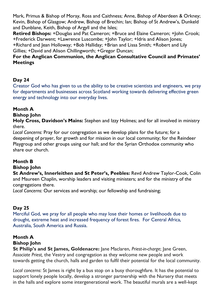Mark, Primus & Bishop of Moray, Ross and Caithness; Anne, Bishop of Aberdeen & Orkney; Kevin, Bishop of Glasgow; Andrew, Bishop of Brechin; Ian; Bishop of St Andrew's, Dunkeld and Dunblane, Keith, Bishop of Argyll and the Isles;

**Retired Bishops:** +Douglas and Pat Cameron; +Bruce and Elaine Cameron; +John Crook; +Frederick Darwent; +Lawrence Luscombe; +John Taylor; +Idris and Alison Jones; +Richard and Jean Holloway; +Bob Halliday; +Brian and Lissa Smith; +Robert and Lily Gillies; +David and Alison Chillingworth; +Gregor Duncan;

#### **For the Anglican Communion, the Anglican Consultative Council and Primates' Meetings**

## **Day 24**

Creator God who has given to us the ability to be creative scientists and engineers, we pray for departments and businesses across Scotland working towards delivering effective green energy and technology into our everyday lives.

#### **Month A**

#### **Bishop John**

**Holy Cross, Davidson's Mains:** Stephen and Izzy Holmes; and for all involved in ministry there.

*Local Concerns:* Pray for our congregation as we develop plans for the future; for a deepening of prayer, for growth and for mission in our local community; for the Reindeer Playgroup and other groups using our hall; and for the Syrian Orthodox community who share our church.

#### **Month B**

#### **Bishop John**

**St Andrew's, Innerleithen and St Peter's, Peebles:** Revd Andrew Taylor-Cook, Colin and Maureen Chaplin, worship leaders and visiting ministers; and for the ministry of the congregations there.

*Local Concerns:* Our services and worship; our fellowship and fundraising;

# **Day 25**

Merciful God, we pray for all people who may lose their homes or livelihoods due to drought, extreme heat and increased frequency of forest fires. For Central Africa, Australia, South America and Russia.

#### **Month A**

#### **Bishop John**

**St Philip's and St James, Goldenacre:** Jane Maclaren, *Priest-in-charge*; Jane Green, *Associate Priest,* the Vestry and congregation as they welcome new people and work towards getting the church, halls and garden to fulfil their potential for the local community.

*Local concerns*: St James is right by a bus stop on a busy thoroughfare. It has the potential to support lonely people locally, develop a stronger partnership with the Nursery that meets in the halls and explore some intergenerational work. The beautiful murals are a well-kept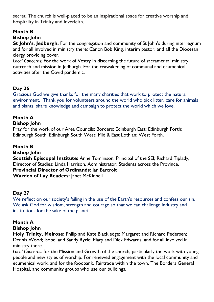secret. The church is well-placed to be an inspirational space for creative worship and hospitality in Trinity and Inverleith.

# **Month B**

#### **Bishop John**

**St John's, Jedburgh:** For the congregation and community of St John's during interregnum and for all involved in ministry there: Canon Bob King, interim pastor, and all the Diocesan clergy providing cover.

*Local Concerns:* For the work of Vestry in discerning the future of sacramental ministry, outreach and mission in Jedburgh. For the reawakening of communal and ecumenical activities after the Covid pandemic.

# **Day 26**

Gracious God we give thanks for the many charities that work to protect the natural environment. Thank you for volunteers around the world who pick litter, care for animals and plants, share knowledge and campaign to protect the world which we love.

# **Month A**

#### **Bishop John**

Pray for the work of our Area Councils: Borders; Edinburgh East; Edinburgh Forth; Edinburgh South; Edinburgh South West; Mid & East Lothian; West Forth.

# **Month B**

#### **Bishop John**

**Scottish Episcopal Institute:** Anne Tomlinson, Principal of the SEI; Richard Tiplady, Director of Studies; Linda Harrison, Administrator; Students across the Province. **Provincial Director of Ordinands:** Ian Barcroft **Warden of Lay Readers:** Janet McKinnell

# **Day 27**

We reflect on our society's failing in the use of the Earth's resources and confess our sin. We ask God for wisdom, strength and courage so that we can challenge industry and institutions for the sake of the planet.

# **Month A**

#### **Bishop John**

**Holy Trinity, Melrose:** Philip and Kate Blackledge; Margaret and Richard Pedersen; Dennis Wood; Isobel and Sandy Ryrie; Mary and Dick Edwards; and for all involved in ministry there.

*Local Concerns:* for the Mission and Growth of the church, particularly the work with young people and new styles of worship. For renewed engagement with the local community and ecumenical work, and for the foodbank. Fairtrade within the town, The Borders General Hospital, and community groups who use our buildings.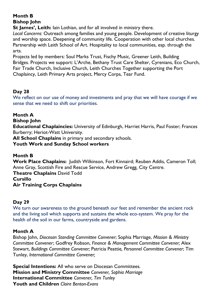**St James', Leith:** Iain Lothian, and for all involved in ministry there.

*Local Concerns:* Outreach among families and young people. Development of creative liturgy and worship space. Deepening of community life. Cooperation with other local churches. Partnership with Leith School of Art. Hospitality to local communities, esp. through the arts.

Projects led by members: Soul Marks Trust, Fischy Music, Greener Leith, Building Bridges. Projects we support: L'Arche, Bethany Trust Care Shelter, Cyrenians, Eco Church, Fair Trade Church, Inclusive Church, Leith Churches Together supporting the Port Chaplaincy, Leith Primary Arts project, Mercy Corps, Tear Fund.

#### **Day 28**

We reflect on our use of money and investments and pray that we will have courage if we sense that we need to shift our priorities.

#### **Month A**

**Bishop John** 

**Educational Chaplaincies:** University of Edinburgh, Harriet Harris, Paul Foster; Frances Burberry; Heriot-Watt University.

**All School Chaplains** in primary and secondary schools.

#### **Youth Work and Sunday School workers**

#### **Month B**

**Work Place Chaplains:** Judith Wilkinson, Fort Kinnaird; Reuben Addis, Cameron Toll; Anne Gray, Scottish Fire and Rescue Service, Andrew Gregg, City Centre.

## **Theatre Chaplains** David Todd

#### **Cursillo**

#### **Air Training Corps Chaplains**

#### **Day 29**

We turn our awareness to the ground beneath our feet and remember the ancient rock and the living soil which supports and sustains the whole eco-system. We pray for the health of the soil in our farms, countryside and gardens.

#### **Month A**

Bishop John, *Diocesan Standing Committee Convener*; Sophia Marriage, *Mission & Ministry Committee Convene*r; Godfrey Robson, *Finance & Management Committee Convener;* Alex Stewart, *Buildings Committee Convener;* Patricia Peattie*, Personnel Committee Convener*; Tim Tunley, *International Committee Convener;*

**Special Intentions:** All who serve on Diocesan Committees. **Mission and Ministry Committee** *Convener, Sophia Marriage* **International Committee** *Convener, Tim Tunley* **Youth and Children** *Claire Benton-Evans*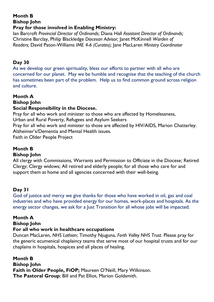#### **Pray for those involved in Enabling Ministry:**

Ian Barcroft *Provincial Director of Ordinands;* Diana Hall *Assistant Director of Ordinands;*  Christine Barclay, Philip Blackledge *Diocesan Advisor;* Janet McKinnell *Warden of Readers;* David Paton-Williams *IME 4-6 (Curates);* Jane MacLaren *Ministry Coordinator*

#### **Day 30**

As we develop our green spirituality, bless our efforts to partner with all who are concerned for our planet. May we be humble and recognise that the teaching of the church has sometimes been part of the problem. Help us to find common ground across religion and culture.

## **Month A**

**Bishop John**

#### **Social Responsibility in the Diocese.**

Pray for all who work and minister to those who are affected by Homelessness,

Urban and Rural Poverty, Refugees and Asylum Seekers

Pray for all who work and minister to those are affected by HIV/AIDS, Marion Chatterley. Alzheimer's/Dementia and Mental Health issues.

Faith in Older People Project

# **Month B**

#### **Bishop John**

All clergy with Commissions, Warrants and Permission to Officiate in the Diocese; Retired Clergy; Clergy widows; All retired and elderly people; for all those who care for and support them at home and all agencies concerned with their well-being.

#### **Day 31**

God of justice and mercy we give thanks for those who have worked in oil, gas and coal industries and who have provided energy for our homes, work-places and hospitals. As the energy sector changes, we ask for a Just Transition for all whose jobs will be impacted.

#### **Month A**

#### **Bishop John**

#### **For all who work in healthcare occupations**

Duncan MacLaren, *NHS Lothian*; Timothy Njuguna, *Forth Valley NHS Trust*. Please pray for the generic ecumenical chaplaincy teams that serve most of our hospital trusts and for our chaplains in hospitals, hospices and all places of healing.

**Month B Bishop John Faith in Older People, FiOP;** Maureen O'Neill, Mary Wilkinson. **The Pastoral Group**; Bill and Pat Elliot, Marion Goldsmith.